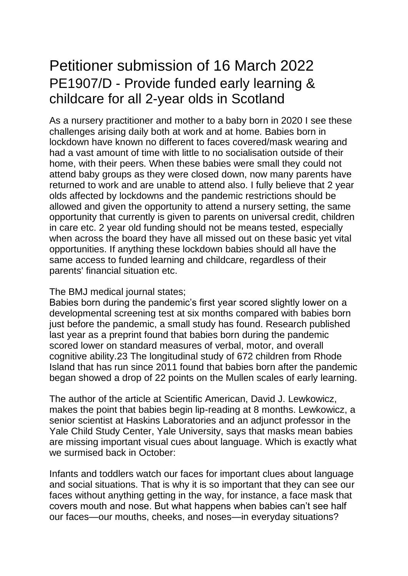## Petitioner submission of 16 March 2022 PE1907/D - Provide funded early learning & childcare for all 2-year olds in Scotland

As a nursery practitioner and mother to a baby born in 2020 I see these challenges arising daily both at work and at home. Babies born in lockdown have known no different to faces covered/mask wearing and had a vast amount of time with little to no socialisation outside of their home, with their peers. When these babies were small they could not attend baby groups as they were closed down, now many parents have returned to work and are unable to attend also. I fully believe that 2 year olds affected by lockdowns and the pandemic restrictions should be allowed and given the opportunity to attend a nursery setting, the same opportunity that currently is given to parents on universal credit, children in care etc. 2 year old funding should not be means tested, especially when across the board they have all missed out on these basic yet vital opportunities. If anything these lockdown babies should all have the same access to funded learning and childcare, regardless of their parents' financial situation etc.

The BMJ medical journal states;

Babies born during the pandemic's first year scored slightly lower on a developmental screening test at six months compared with babies born just before the pandemic, a small study has found. Research published last year as a preprint found that babies born during the pandemic scored lower on standard measures of verbal, motor, and overall cognitive ability.23 The longitudinal study of 672 children from Rhode Island that has run since 2011 found that babies born after the pandemic began showed a drop of 22 points on the Mullen scales of early learning.

The author of the article at Scientific American, David J. Lewkowicz, makes the point that babies begin lip-reading at 8 months. Lewkowicz, a senior scientist at Haskins Laboratories and an adjunct professor in the Yale Child Study Center, Yale University, says that masks mean babies are missing important visual cues about language. Which is exactly what we surmised back in October:

Infants and toddlers watch our faces for important clues about language and social situations. That is why it is so important that they can see our faces without anything getting in the way, for instance, a face mask that covers mouth and nose. But what happens when babies can't see half our faces—our mouths, cheeks, and noses—in everyday situations?